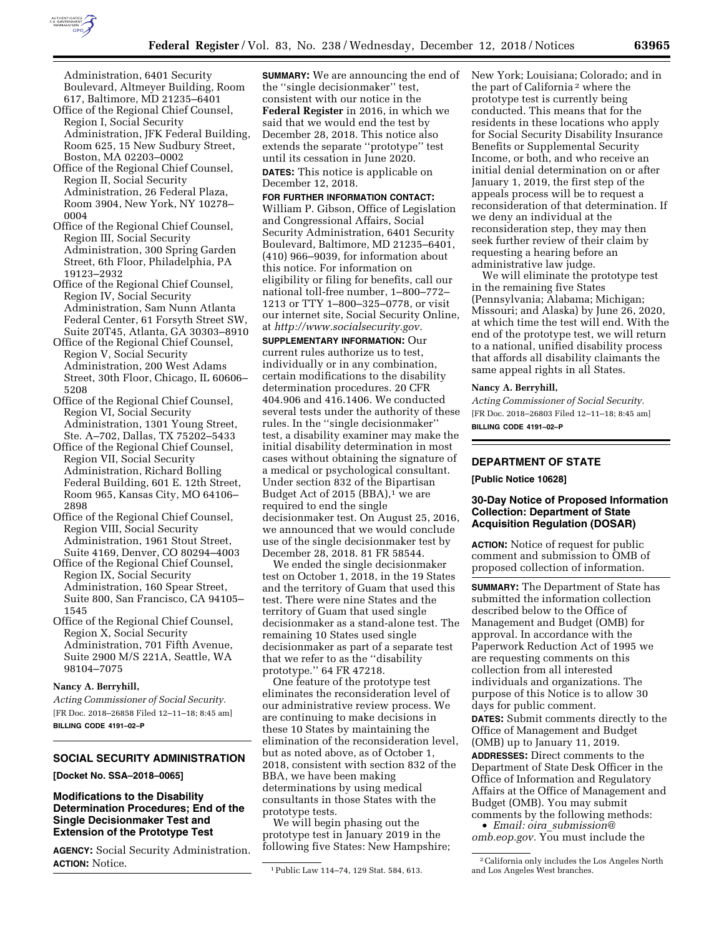

Administration, 6401 Security Boulevard, Altmeyer Building, Room 617, Baltimore, MD 21235–6401

- Office of the Regional Chief Counsel, Region I, Social Security Administration, JFK Federal Building, Room 625, 15 New Sudbury Street, Boston, MA 02203–0002
- Office of the Regional Chief Counsel, Region II, Social Security Administration, 26 Federal Plaza, Room 3904, New York, NY 10278– 0004
- Office of the Regional Chief Counsel, Region III, Social Security Administration, 300 Spring Garden Street, 6th Floor, Philadelphia, PA 19123–2932
- Office of the Regional Chief Counsel, Region IV, Social Security Administration, Sam Nunn Atlanta Federal Center, 61 Forsyth Street SW, Suite 20T45, Atlanta, GA 30303–8910
- Office of the Regional Chief Counsel, Region V, Social Security Administration, 200 West Adams Street, 30th Floor, Chicago, IL 60606– 5208
- Office of the Regional Chief Counsel, Region VI, Social Security Administration, 1301 Young Street, Ste. A–702, Dallas, TX 75202–5433
- Office of the Regional Chief Counsel, Region VII, Social Security Administration, Richard Bolling Federal Building, 601 E. 12th Street, Room 965, Kansas City, MO 64106– 2898
- Office of the Regional Chief Counsel, Region VIII, Social Security Administration, 1961 Stout Street, Suite 4169, Denver, CO 80294–4003
- Office of the Regional Chief Counsel, Region IX, Social Security Administration, 160 Spear Street, Suite 800, San Francisco, CA 94105– 1545
- Office of the Regional Chief Counsel, Region X, Social Security Administration, 701 Fifth Avenue, Suite 2900 M/S 221A, Seattle, WA 98104–7075

### **Nancy A. Berryhill,**

*Acting Commissioner of Social Security.*  [FR Doc. 2018–26858 Filed 12–11–18; 8:45 am] **BILLING CODE 4191–02–P** 

## **SOCIAL SECURITY ADMINISTRATION**

### **[Docket No. SSA–2018–0065]**

### **Modifications to the Disability Determination Procedures; End of the Single Decisionmaker Test and Extension of the Prototype Test**

**AGENCY:** Social Security Administration. **ACTION:** Notice.

**SUMMARY:** We are announcing the end of the ''single decisionmaker'' test, consistent with our notice in the **Federal Register** in 2016, in which we said that we would end the test by December 28, 2018. This notice also extends the separate ''prototype'' test until its cessation in June 2020. **DATES:** This notice is applicable on

December 12, 2018.

### **FOR FURTHER INFORMATION CONTACT:**

William P. Gibson, Office of Legislation and Congressional Affairs, Social Security Administration, 6401 Security Boulevard, Baltimore, MD 21235–6401, (410) 966–9039, for information about this notice. For information on eligibility or filing for benefits, call our national toll-free number, 1–800–772– 1213 or TTY 1–800–325–0778, or visit our internet site, Social Security Online, at *[http://www.socialsecurity.gov.](http://www.socialsecurity.gov)* 

**SUPPLEMENTARY INFORMATION:** Our current rules authorize us to test, individually or in any combination, certain modifications to the disability determination procedures. 20 CFR 404.906 and 416.1406. We conducted several tests under the authority of these rules. In the ''single decisionmaker'' test, a disability examiner may make the initial disability determination in most cases without obtaining the signature of a medical or psychological consultant. Under section 832 of the Bipartisan Budget Act of 2015 (BBA),<sup>1</sup> we are required to end the single decisionmaker test. On August 25, 2016, we announced that we would conclude use of the single decisionmaker test by December 28, 2018. 81 FR 58544.

We ended the single decisionmaker test on October 1, 2018, in the 19 States and the territory of Guam that used this test. There were nine States and the territory of Guam that used single decisionmaker as a stand-alone test. The remaining 10 States used single decisionmaker as part of a separate test that we refer to as the ''disability prototype.'' 64 FR 47218.

One feature of the prototype test eliminates the reconsideration level of our administrative review process. We are continuing to make decisions in these 10 States by maintaining the elimination of the reconsideration level, but as noted above, as of October 1, 2018, consistent with section 832 of the BBA, we have been making determinations by using medical consultants in those States with the prototype tests.

We will begin phasing out the prototype test in January 2019 in the following five States: New Hampshire; New York; Louisiana; Colorado; and in the part of California 2 where the prototype test is currently being conducted. This means that for the residents in these locations who apply for Social Security Disability Insurance Benefits or Supplemental Security Income, or both, and who receive an initial denial determination on or after January 1, 2019, the first step of the appeals process will be to request a reconsideration of that determination. If we deny an individual at the reconsideration step, they may then seek further review of their claim by requesting a hearing before an administrative law judge.

We will eliminate the prototype test in the remaining five States (Pennsylvania; Alabama; Michigan; Missouri; and Alaska) by June 26, 2020, at which time the test will end. With the end of the prototype test, we will return to a national, unified disability process that affords all disability claimants the same appeal rights in all States.

#### **Nancy A. Berryhill,**

*Acting Commissioner of Social Security.*  [FR Doc. 2018–26803 Filed 12–11–18; 8:45 am] **BILLING CODE 4191–02–P** 

# **DEPARTMENT OF STATE**

**[Public Notice 10628]** 

### **30-Day Notice of Proposed Information Collection: Department of State Acquisition Regulation (DOSAR)**

**ACTION:** Notice of request for public comment and submission to OMB of proposed collection of information.

**SUMMARY:** The Department of State has submitted the information collection described below to the Office of Management and Budget (OMB) for approval. In accordance with the Paperwork Reduction Act of 1995 we are requesting comments on this collection from all interested individuals and organizations. The purpose of this Notice is to allow 30 days for public comment. **DATES:** Submit comments directly to the Office of Management and Budget (OMB) up to January 11, 2019. **ADDRESSES:** Direct comments to the Department of State Desk Officer in the Office of Information and Regulatory Affairs at the Office of Management and Budget (OMB). You may submit comments by the following methods:

• *Email: oira*\_*[submission@](mailto:oira_submission@omb.eop.gov) [omb.eop.gov.](mailto:oira_submission@omb.eop.gov)* You must include the

<sup>1</sup>Public Law 114–74, 129 Stat. 584, 613.

<sup>2</sup>California only includes the Los Angeles North and Los Angeles West branches.